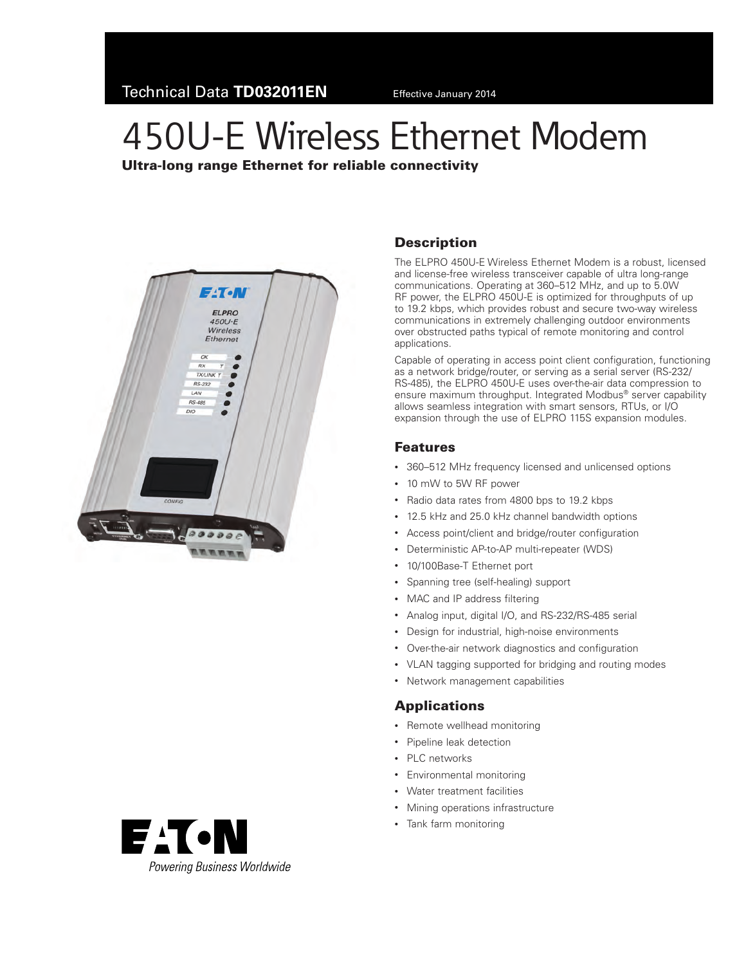# 450U-E Wireless Ethernet Modem

Ultra-long range Ethernet for reliable connectivity





### **Description**

The ELPRO 450U-E Wireless Ethernet Modem is a robust, licensed and license-free wireless transceiver capable of ultra long-range communications. Operating at 360–512 MHz, and up to 5.0W RF power, the ELPRO 450U-E is optimized for throughputs of up to 19.2 kbps, which provides robust and secure two-way wireless communications in extremely challenging outdoor environments over obstructed paths typical of remote monitoring and control applications.

Capable of operating in access point client configuration, functioning as a network bridge/router, or serving as a serial server (RS-232/ RS-485), the ELPRO 450U-E uses over-the-air data compression to ensure maximum throughput. Integrated Modbus® server capability allows seamless integration with smart sensors, RTUs, or I/O expansion through the use of ELPRO 115S expansion modules.

#### Features

- 360–512 MHz frequency licensed and unlicensed options
- • 10 mW to 5W RF power
- • Radio data rates from 4800 bps to 19.2 kbps
- • 12.5 kHz and 25.0 kHz channel bandwidth options
- Access point/client and bridge/router configuration
- • Deterministic AP-to-AP multi-repeater (WDS)
- 10/100Base-T Ethernet port
- • Spanning tree (self-healing) support
- MAC and IP address filtering
- Analog input, digital I/O, and RS-232/RS-485 serial
- • Design for industrial, high-noise environments
- • Over-the-air network diagnostics and configuration
- VLAN tagging supported for bridging and routing modes
- • Network management capabilities

#### **Applications**

- Remote wellhead monitoring
- • Pipeline leak detection
- • PLC networks
- • Environmental monitoring
- Water treatment facilities
- • Mining operations infrastructure
- • Tank farm monitoring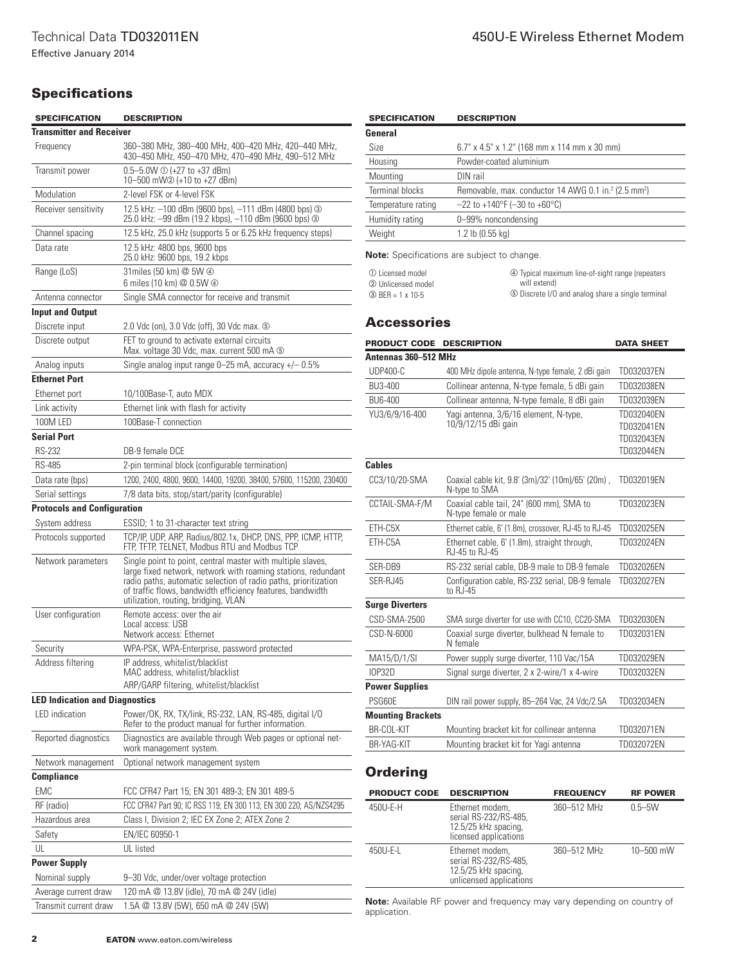## **Specifications**

| <b>SPECIFICATION</b>                  | <b>DESCRIPTION</b>                                                                                                                                                                                                                                                                                    |  |  |
|---------------------------------------|-------------------------------------------------------------------------------------------------------------------------------------------------------------------------------------------------------------------------------------------------------------------------------------------------------|--|--|
| <b>Transmitter and Receiver</b>       |                                                                                                                                                                                                                                                                                                       |  |  |
| Frequency                             | 360–380 MHz, 380–400 MHz, 400–420 MHz, 420–440 MHz,<br>430-450 MHz, 450-470 MHz, 470-490 MHz, 490-512 MHz                                                                                                                                                                                             |  |  |
| Transmit power                        | $0.5 - 5.0W \odot (+27 \text{ to } +37 \text{ dBm})$<br>10-500 mW2 (+10 to +27 dBm)                                                                                                                                                                                                                   |  |  |
| Modulation                            | 2-level FSK or 4-level FSK                                                                                                                                                                                                                                                                            |  |  |
| Receiver sensitivity                  | 12.5 kHz: -100 dBm (9600 bps), -111 dBm (4800 bps) 3<br>25.0 kHz: -99 dBm (19.2 kbps), -110 dBm (9600 bps) 3                                                                                                                                                                                          |  |  |
| Channel spacing                       | 12.5 kHz, 25.0 kHz (supports 5 or 6.25 kHz frequency steps)                                                                                                                                                                                                                                           |  |  |
| Data rate                             | 12.5 kHz: 4800 bps, 9600 bps<br>25.0 kHz: 9600 bps, 19.2 kbps                                                                                                                                                                                                                                         |  |  |
| Range (LoS)                           | 31 miles (50 km) @ 5W 4<br>6 miles (10 km) @ 0.5W 4                                                                                                                                                                                                                                                   |  |  |
| Antenna connector                     | Single SMA connector for receive and transmit                                                                                                                                                                                                                                                         |  |  |
| <b>Input and Output</b>               |                                                                                                                                                                                                                                                                                                       |  |  |
| Discrete input                        | 2.0 Vdc (on), 3.0 Vdc (off), 30 Vdc max. 5                                                                                                                                                                                                                                                            |  |  |
| Discrete output                       | FET to ground to activate external circuits<br>Max. voltage 30 Vdc, max. current 500 mA $\circledcirc$                                                                                                                                                                                                |  |  |
| Analog inputs                         | Single analog input range $0-25$ mA, accuracy $+/- 0.5\%$                                                                                                                                                                                                                                             |  |  |
| <b>Ethernet Port</b>                  |                                                                                                                                                                                                                                                                                                       |  |  |
| Ethernet port                         | 10/100Base-T, auto MDX                                                                                                                                                                                                                                                                                |  |  |
| Link activity                         | Ethernet link with flash for activity                                                                                                                                                                                                                                                                 |  |  |
| 100M LED                              | 100Base-T connection                                                                                                                                                                                                                                                                                  |  |  |
| <b>Serial Port</b>                    |                                                                                                                                                                                                                                                                                                       |  |  |
| <b>RS-232</b>                         | DB-9 female DCE                                                                                                                                                                                                                                                                                       |  |  |
| RS-485                                | 2-pin terminal block (configurable termination)                                                                                                                                                                                                                                                       |  |  |
| Data rate (bps)                       | 1200, 2400, 4800, 9600, 14400, 19200, 38400, 57600, 115200, 230400                                                                                                                                                                                                                                    |  |  |
| Serial settings                       | 7/8 data bits, stop/start/parity (configurable)                                                                                                                                                                                                                                                       |  |  |
| <b>Protocols and Configuration</b>    |                                                                                                                                                                                                                                                                                                       |  |  |
| System address                        | ESSID; 1 to 31-character text string                                                                                                                                                                                                                                                                  |  |  |
| Protocols supported                   | TCP/IP, UDP, ARP, Radius/802.1x, DHCP, DNS, PPP, ICMP, HTTP,<br>FTP, TFTP, TELNET, Modbus RTU and Modbus TCP                                                                                                                                                                                          |  |  |
| Network parameters                    | Single point to point, central master with multiple slaves,<br>large fixed network, network with roaming stations, redundant<br>radio paths, automatic selection of radio paths, prioritization<br>of traffic flows, bandwidth efficiency features, bandwidth<br>utilization, routing, bridging, VLAN |  |  |
| User configuration                    | Remote access: over the air<br>Local access: USB<br>Network access: Ethernet                                                                                                                                                                                                                          |  |  |
| Security                              | WPA-PSK, WPA-Enterprise, password protected                                                                                                                                                                                                                                                           |  |  |
| Address filtering                     | IP address, whitelist/blacklist<br>MAC address, whitelist/blacklist                                                                                                                                                                                                                                   |  |  |
|                                       | ARP/GARP filtering, whitelist/blacklist                                                                                                                                                                                                                                                               |  |  |
| <b>LED Indication and Diagnostics</b> |                                                                                                                                                                                                                                                                                                       |  |  |
| <b>LED</b> indication                 | Power/OK, RX, TX/link, RS-232, LAN, RS-485, digital I/O<br>Refer to the product manual for further information.                                                                                                                                                                                       |  |  |
| Reported diagnostics                  | Diagnostics are available through Web pages or optional net-<br>work management system.                                                                                                                                                                                                               |  |  |
| Network management                    | Optional network management system                                                                                                                                                                                                                                                                    |  |  |
| <b>Compliance</b>                     |                                                                                                                                                                                                                                                                                                       |  |  |
| <b>EMC</b>                            | FCC CFR47 Part 15; EN 301 489-3; EN 301 489-5                                                                                                                                                                                                                                                         |  |  |
| RF (radio)                            | FCC CFR47 Part 90; IC RSS 119; EN 300 113; EN 300 220; AS/NZS4295                                                                                                                                                                                                                                     |  |  |
| Hazardous area                        | Class I, Division 2; IEC EX Zone 2; ATEX Zone 2                                                                                                                                                                                                                                                       |  |  |
| Safety                                | EN/IEC 60950-1                                                                                                                                                                                                                                                                                        |  |  |
| UL                                    | UL listed                                                                                                                                                                                                                                                                                             |  |  |
| <b>Power Supply</b>                   |                                                                                                                                                                                                                                                                                                       |  |  |
| Nominal supply                        | 9-30 Vdc, under/over voltage protection                                                                                                                                                                                                                                                               |  |  |
| Average current draw                  | 120 mA @ 13.8V (idle), 70 mA @ 24V (idle)                                                                                                                                                                                                                                                             |  |  |
| Transmit current draw                 | 1.5A @ 13.8V (5W), 650 mA @ 24V (5W)                                                                                                                                                                                                                                                                  |  |  |

| <b>SPECIFICATION</b> | <b>DESCRIPTION</b>                                                           |  |
|----------------------|------------------------------------------------------------------------------|--|
| General              |                                                                              |  |
| Size                 | 6.7" x 4.5" x 1.2" (168 mm x 114 mm x 30 mm)                                 |  |
| Housing              | Powder-coated aluminium                                                      |  |
| Mounting             | DIN rail                                                                     |  |
| Terminal blocks      | Removable, max. conductor 14 AWG 0.1 in. <sup>2</sup> (2.5 mm <sup>2</sup> ) |  |
| Temperature rating   | $-22$ to +140°F (-30 to +60°C)                                               |  |
| Humidity rating      | 0-99% noncondensing                                                          |  |
| Weight               | 1.2 lb (0.55 kg)                                                             |  |

**Note:** Specifications are subject to change.

<span id="page-1-2"></span><span id="page-1-1"></span><span id="page-1-0"></span> $\mathbb O$  Licensed model 2 Unlicensed model  $BER = 1 \times 10-5$ 

<span id="page-1-4"></span><span id="page-1-3"></span>d Typical maximum line-of-sight range (repeaters will extend)  $\circledS$  Discrete I/O and analog share a single terminal

#### **Accessories**

| <b>PRODUCT CODE</b>      | <b>DESCRIPTION</b>                                                 | <b>DATA SHEET</b> |  |  |  |
|--------------------------|--------------------------------------------------------------------|-------------------|--|--|--|
| Antennas 360-512 MHz     |                                                                    |                   |  |  |  |
| <b>UDP400-C</b>          | 400 MHz dipole antenna, N-type female, 2 dBi gain                  | TD032037EN        |  |  |  |
| BU3-400                  | Collinear antenna, N-type female, 5 dBi gain                       | TD032038EN        |  |  |  |
| BU6-400                  | Collinear antenna, N-type female, 8 dBi gain                       | TD032039EN        |  |  |  |
| YU3/6/9/16-400           | Yagi antenna, 3/6/16 element, N-type,                              | TD032040EN        |  |  |  |
|                          | 10/9/12/15 dBi gain                                                | TD032041EN        |  |  |  |
|                          |                                                                    | TD032043EN        |  |  |  |
|                          |                                                                    | TD032044EN        |  |  |  |
| <b>Cables</b>            |                                                                    |                   |  |  |  |
| CC3/10/20-SMA            | Coaxial cable kit, 9.8' (3m)/32' (10m)/65' (20m),<br>N-type to SMA | TD032019EN        |  |  |  |
| CCTAIL-SMA-F/M           | Coaxial cable tail, 24" (600 mm), SMA to<br>N-type female or male  | TD032023EN        |  |  |  |
| FTH-C5X                  | Ethernet cable, 6' (1.8m), crossover, RJ-45 to RJ-45               | TD032025EN        |  |  |  |
| ETH-C5A                  | Ethernet cable, 6' (1.8m), straight through,<br>RJ-45 to RJ-45     | TD032024EN        |  |  |  |
| SER-DB9                  | RS-232 serial cable, DB-9 male to DB-9 female                      | TD032026EN        |  |  |  |
| SER-RJ45                 | Configuration cable, RS-232 serial, DB-9 female<br>to RJ-45        | TD032027EN        |  |  |  |
| <b>Surge Diverters</b>   |                                                                    |                   |  |  |  |
| CSD-SMA-2500             | SMA surge diverter for use with CC10, CC20-SMA                     | TD032030EN        |  |  |  |
| CSD-N-6000               | Coaxial surge diverter, bulkhead N female to<br>N female           | TD032031EN        |  |  |  |
| MA15/D/1/SI              | Power supply surge diverter, 110 Vac/15A                           | TD032029EN        |  |  |  |
| <b>IOP32D</b>            | Signal surge diverter, 2 x 2-wire/1 x 4-wire                       | TD032032EN        |  |  |  |
| <b>Power Supplies</b>    |                                                                    |                   |  |  |  |
| <b>PSG60E</b>            | DIN rail power supply, 85-264 Vac, 24 Vdc/2.5A                     | TD032034EN        |  |  |  |
| <b>Mounting Brackets</b> |                                                                    |                   |  |  |  |
| BR-COL-KIT               | Mounting bracket kit for collinear antenna                         | TD032071EN        |  |  |  |
| BR-YAG-KIT               | Mounting bracket kit for Yagi antenna                              | TD032072EN        |  |  |  |

## **Ordering**

| <b>PRODUCT CODE</b> | <b>DESCRIPTION</b>                                                                          | <b>FREQUENCY</b> | <b>RF POWER</b> |
|---------------------|---------------------------------------------------------------------------------------------|------------------|-----------------|
| 450U-E-H            | Ethernet modem.<br>serial RS-232/RS-485,<br>12.5/25 kHz spacing,<br>licensed applications   | 360-512 MHz      | $0.5 - 5W$      |
| 450U-E-L            | Ethernet modem,<br>serial RS-232/RS-485,<br>12.5/25 kHz spacing,<br>unlicensed applications | 360-512 MHz      | $10 - 500$ mW   |

**Note:** Available RF power and frequency may vary depending on country of application.